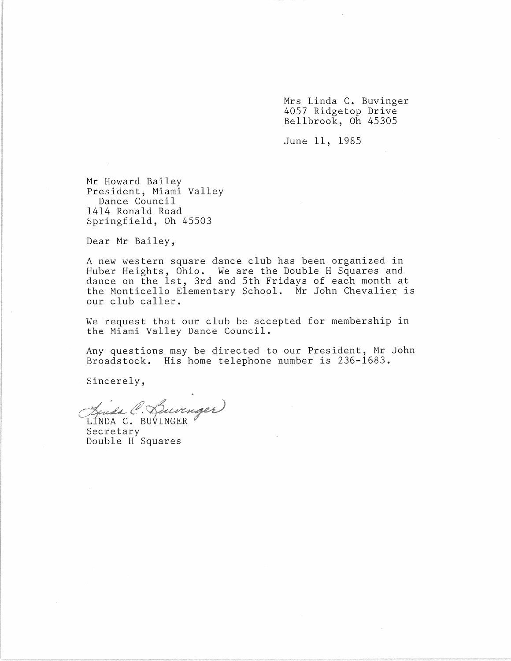Mrs Linda C. Buvinger 4057 Ridgetop Drive Bellbrook, Oh 45305

June 11, 1985

Mr Howard Bailey President, Miami Valley Dance Council 1414 Ronald Road Springfield, Oh 45503

Dear Mr Bailey,

A new western square dance club has been organized in Huber Heights, Ohio. We are the Double H Squares and dance on the 1st, 3rd and 5th Fridays of each month at the Monticello Elementary School. Mr John Chevalier is our club caller.

We request that our club be accepted for membership in the Miami Valley Dance Council.

Any questions may be directed to our President, Mr John Broadstock. His home telephone number is 236-1683.

Sincerely,

Finda C. Burnger LINDA C. BUVINGER

Secretary Double H Squares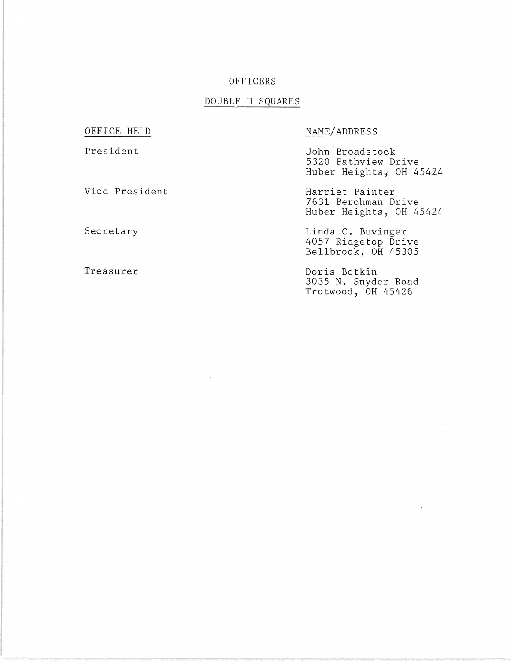### OFFICERS

#### DOUBLE H SQUARES

# OFFICE HELD

### President

Vice President

Secretary

Treasurer

# NAME/ADDRESS

John ·Broadstock 5320 Pathview Drive Huber Heights; OH 45424

Harriet Painter 7631 Berchman Drive Huber Heights, OH 45424

Linda C. Buvinger 4057 Ridgetop Drive Bellbrook, OH 45305

Doris Botkin 3035 N. Snyder Road Trotwood, OH 45426